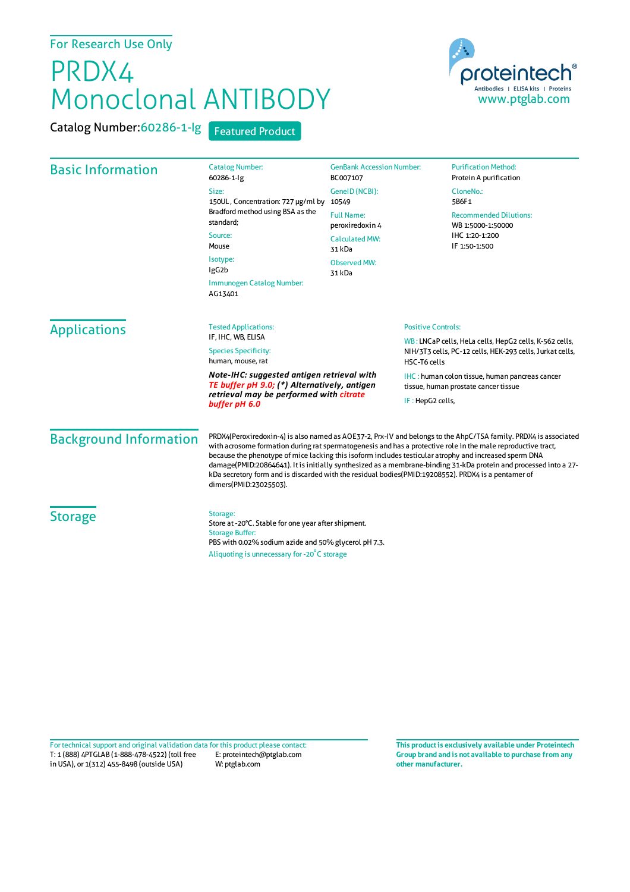## For Research Use Only

## PRDX4 Monoclonal ANTIBODY

Catalog Number:60286-1-lg Featured Product



| <b>Basic Information</b>                                                                                                                               | <b>Catalog Number:</b>                                                                                                                                                                                                                                                                                                                                                                                                                                                                                                                                                                         | <b>GenBank Accession Number:</b>                                                       | <b>Purification Method:</b>                        |
|--------------------------------------------------------------------------------------------------------------------------------------------------------|------------------------------------------------------------------------------------------------------------------------------------------------------------------------------------------------------------------------------------------------------------------------------------------------------------------------------------------------------------------------------------------------------------------------------------------------------------------------------------------------------------------------------------------------------------------------------------------------|----------------------------------------------------------------------------------------|----------------------------------------------------|
|                                                                                                                                                        | 60286-1-lg<br>Size:<br>150UL, Concentration: 727 µg/ml by<br>Bradford method using BSA as the<br>standard;<br>Source:<br>Mouse<br>Isotype:<br>IgG <sub>2</sub> b<br>Immunogen Catalog Number:<br>AG13401                                                                                                                                                                                                                                                                                                                                                                                       | BC007107<br>GeneID (NCBI):<br>10549                                                    | Protein A purification<br>CloneNo.:<br>5B6F1       |
|                                                                                                                                                        |                                                                                                                                                                                                                                                                                                                                                                                                                                                                                                                                                                                                | <b>Full Name:</b><br>peroxiredoxin 4<br><b>Calculated MW:</b><br>31 kDa                | <b>Recommended Dilutions:</b><br>WB 1:5000-1:50000 |
|                                                                                                                                                        |                                                                                                                                                                                                                                                                                                                                                                                                                                                                                                                                                                                                |                                                                                        | IHC 1:20-1:200<br>IF 1:50-1:500                    |
|                                                                                                                                                        |                                                                                                                                                                                                                                                                                                                                                                                                                                                                                                                                                                                                | <b>Observed MW:</b><br>31 kDa                                                          |                                                    |
|                                                                                                                                                        |                                                                                                                                                                                                                                                                                                                                                                                                                                                                                                                                                                                                |                                                                                        |                                                    |
| WB: LNCaP cells, HeLa cells, HepG2 cells, K-562 cells,<br>NIH/3T3 cells, PC-12 cells, HEK-293 cells, Jurkat cells,<br>HSC-T6 cells                     |                                                                                                                                                                                                                                                                                                                                                                                                                                                                                                                                                                                                |                                                                                        |                                                    |
| Note-IHC: suggested antigen retrieval with<br>TE buffer pH 9.0; (*) Alternatively, antigen<br>retrieval may be performed with citrate<br>buffer pH 6.0 |                                                                                                                                                                                                                                                                                                                                                                                                                                                                                                                                                                                                | IHC: human colon tissue, human pancreas cancer<br>tissue, human prostate cancer tissue |                                                    |
|                                                                                                                                                        |                                                                                                                                                                                                                                                                                                                                                                                                                                                                                                                                                                                                | IF: HepG2 cells,                                                                       |                                                    |
| <b>Background Information</b>                                                                                                                          | PRDX4(Peroxiredoxin-4) is also named as AOE37-2, Prx-IV and belongs to the AhpC/TSA family. PRDX4 is associated<br>with acrosome formation during rat spermatogenesis and has a protective role in the male reproductive tract,<br>because the phenotype of mice lacking this isoform includes testicular atrophy and increased sperm DNA<br>damage(PMID:20864641). It is initially synthesized as a membrane-binding 31-kDa protein and processed into a 27-<br>kDa secretory form and is discarded with the residual bodies(PMID:19208552). PRDX4 is a pentamer of<br>dimers(PMID:23025503). |                                                                                        |                                                    |
| <b>Storage</b>                                                                                                                                         | Storage:<br>Store at -20°C. Stable for one year after shipment.<br><b>Storage Buffer:</b><br>PBS with 0.02% sodium azide and 50% glycerol pH 7.3.                                                                                                                                                                                                                                                                                                                                                                                                                                              |                                                                                        |                                                    |
|                                                                                                                                                        | Aliquoting is unnecessary for -20°C storage                                                                                                                                                                                                                                                                                                                                                                                                                                                                                                                                                    |                                                                                        |                                                    |

T: 1 (888) 4PTGLAB (1-888-478-4522) (toll free E: proteintech@ptglab.com in USA), or 1(312) 455-8498 (outside USA) W: ptglab.com Fortechnical support and original validation data forthis product please contact: **This productis exclusively available under Proteintech**

**Group brand and is not available to purchase from any other manufacturer.**